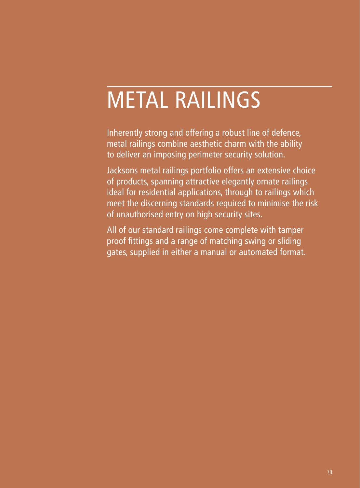# METAL RAILINGS

Inherently strong and offering a robust line of defence, metal railings combine aesthetic charm with the ability to deliver an imposing perimeter security solution.

Jacksons metal railings portfolio offers an extensive choice of products, spanning attractive elegantly ornate railings ideal for residential applications, through to railings which meet the discerning standards required to minimise the risk of unauthorised entry on high security sites.

All of our standard railings come complete with tamper proof fittings and a range of matching swing or sliding gates, supplied in either a manual or automated format.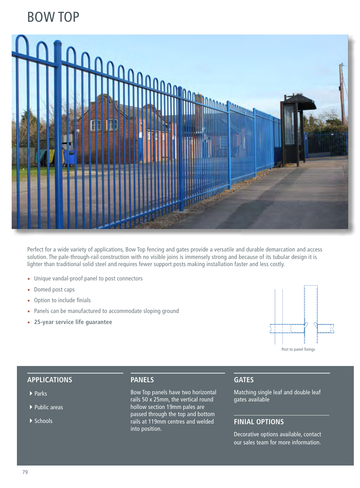# BOW TOP



Perfect for a wide variety of applications, Bow Top fencing and gates provide a versatile and durable demarcation and access solution. The pale-through-rail construction with no visible joins is immensely strong and because of its tubular design it is lighter than traditional solid steel and requires fewer support posts making installation faster and less costly.

- Unique vandal-proof panel to post connectors
- Domed post caps
- Option to include finials
- Panels can be manufactured to accommodate sloping ground
- **25-year service life guarantee**



#### **APPLICATIONS**

- ▶ Parks
- $\blacktriangleright$  Public areas
- $\blacktriangleright$  Schools

#### **PANELS**

Bow Top panels have two horizontal rails 50 x 25mm, the vertical round hollow section 19mm pales are passed through the top and bottom rails at 119mm centres and welded into position.

#### **GATES**

Matching single leaf and double leaf gates available

### **FINIAL OPTIONS**

Decorative options available, contact our sales team for more information.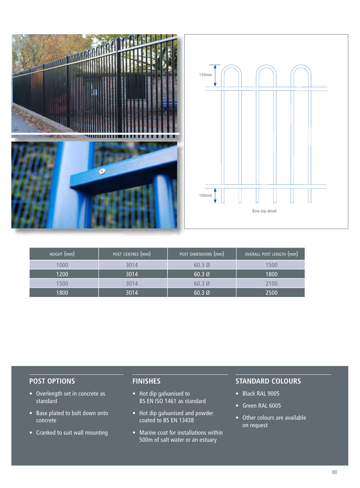

| HEIGHT (mm) | POST CENTRES (mm) | POST DIMENSIONS (mm) | OVERALL POST LENGTH (mm) |
|-------------|-------------------|----------------------|--------------------------|
| 1000        | 3014              | $60.3\ \emptyset$    | 1500                     |
| 1200        | 3014              | $60.3\varnothing$    | 1800                     |
| 1500        | 3014              | $60.3\ \emptyset$    | 2100                     |
| 1800        | 3014              | $60.3\ \omega$       | 2500                     |

#### **POST OPTIONS**

- Overlength set in concrete as standard
- Base plated to bolt down onto concrete
- Cranked to suit wall mounting

## **FINISHES**

- Hot dip galvanised to BS EN ISO 1461 as standard
- Hot dip galvanised and powder coated to BS EN 13438
- Marine coat for installations within 500m of salt water or an estuary

- Black RAL 9005
- Green RAL 6005
- Other colours are available on request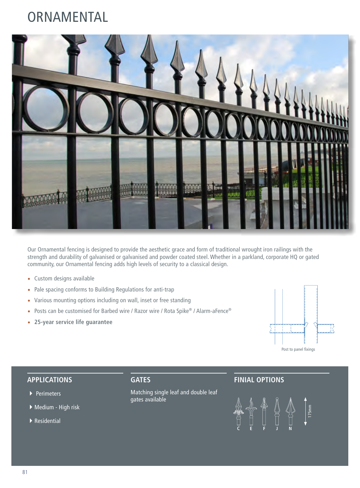# **ORNAMENTAL**



Our Ornamental fencing is designed to provide the aesthetic grace and form of traditional wrought iron railings with the strength and durability of galvanised or galvanised and powder coated steel. Whether in a parkland, corporate HQ or gated community, our Ornamental fencing adds high levels of security to a classical design.

- Custom designs available
- Pale spacing conforms to Building Regulations for anti-trap
- Various mounting options including on wall, inset or free standing
- Posts can be customised for Barbed wire / Razor wire / Rota Spike® / Alarm-aFence®
- **25-year service life guarantee**



#### **APPLICATIONS**

- ▶ Perimeters
- ▶ Medium High risk
- $\blacktriangleright$  Residential

### **GATES**

Matching single leaf and double leaf gates available

### **FINIAL OPTIONS**

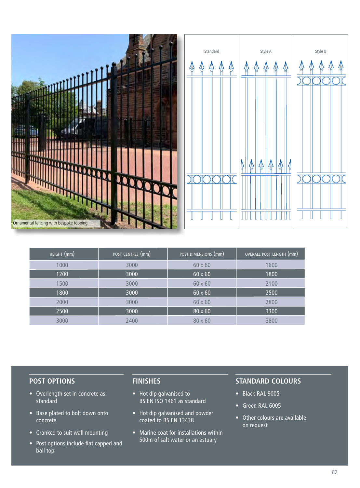

| HEIGHT (mm) | POST CENTRES (mm) | $\overline{\rm _1}$ POST DIMENSIONS $\rm (mm)^2$ | $\overline{\rm _1}$ OVERALL POST LENGTH ${\rm (mm)}$ |
|-------------|-------------------|--------------------------------------------------|------------------------------------------------------|
| 1000        | 3000              | $60 \times 60$                                   | 1600                                                 |
| 1200        | 3000              | $60 \times 60$                                   | 1800                                                 |
| 1500        | 3000              | $60 \times 60$                                   | 2100                                                 |
| 1800        | 3000              | $60 \times 60$                                   | 2500                                                 |
| 2000        | 3000              | $60 \times 60$                                   | 2800                                                 |
| 2500        | 3000              | $80 \times 60$                                   | 3300                                                 |
| 3000        | 2400              | $80 \times 60$                                   | 3800                                                 |

#### **POST OPTIONS**

- Overlength set in concrete as standard
- Base plated to bolt down onto concrete
- Cranked to suit wall mounting
- Post options include flat capped and ball top

#### **FINISHES**

- Hot dip galvanised to BS EN ISO 1461 as standard
- Hot dip galvanised and powder coated to BS EN 13438
- Marine coat for installations within 500m of salt water or an estuary

- Black RAL 9005
- Green RAL 6005
- Other colours are available on request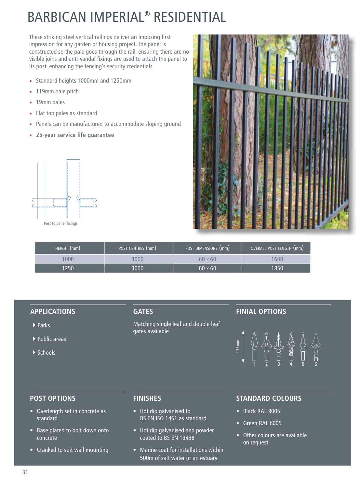# BARBICAN IMPERIAL® RESIDENTIAL

These striking steel vertical railings deliver an imposing first impression for any garden or housing project. The panel is constructed so the pale goes through the rail, ensuring there are no visible joins and anti-vandal fixings are used to attach the panel to its post, enhancing the fencing's security credentials.

- Standard heights 1000mm and 1250mm
- 119mm pale pitch
- 19mm pales
- Flat top pales as standard
- Panels can be manufactured to accommodate sloping ground
- **25-year service life guarantee**



Post to panel fixings



| HEIGHT (mm) | POST CENTRES (mm) | POST DIMENSIONS (mm) | OVERALL POST LENGTH (mm) |
|-------------|-------------------|----------------------|--------------------------|
|             | 3000              | $60 \times 60$       | 1600                     |
| 1250        | 3000              | $60 \times 60$       | 1850                     |

#### **APPLICATIONS**

- ▶ Parks
- $\blacktriangleright$  Public areas
- $\blacktriangleright$  Schools

#### **GATES**

Matching single leaf and double leaf gates available

#### **FINIAL OPTIONS**



#### **POST OPTIONS**

- Overlength set in concrete as standard
- Base plated to bolt down onto concrete
- Cranked to suit wall mounting

#### **FINISHES**

- Hot dip galvanised to BS EN ISO 1461 as standard
- Hot dip galvanised and powder coated to BS EN 13438
- Marine coat for installations within 500m of salt water or an estuary

- Black RAL 9005
- Green RAL 6005
- Other colours are available on request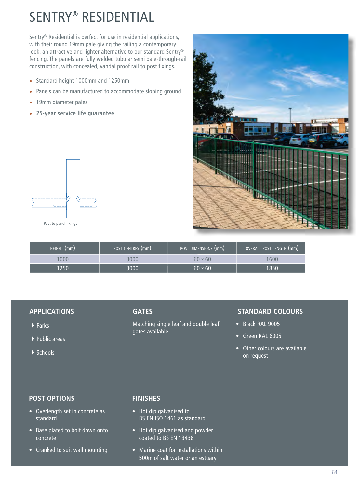# SENTRY® RESIDENTIAL

Sentry® Residential is perfect for use in residential applications, with their round 19mm pale giving the railing a contemporary look, an attractive and lighter alternative to our standard Sentry® fencing. The panels are fully welded tubular semi pale-through-rail construction, with concealed, vandal proof rail to post fixings.

- Standard height 1000mm and 1250mm
- Panels can be manufactured to accommodate sloping ground
- 19mm diameter pales
- **25-year service life guarantee**



Post to panel fixings



| HEIGHT (mm) | POST CENTRES (mm) | POST DIMENSIONS (mm) | OVERALL POST LENGTH (mm) |
|-------------|-------------------|----------------------|--------------------------|
| 000         |                   | $60 \times 60$       | 600                      |
| 1250        | 3000              | $60 \times 60$       | 1850                     |

#### **APPLICATIONS**

- $\blacktriangleright$  Parks
- $\blacktriangleright$  Public areas
- $\blacktriangleright$  Schools

#### **GATES**

Matching single leaf and double leaf gates available

#### **STANDARD COLOURS**

- Black RAL 9005
- Green RAL 6005
- Other colours are available on request

#### **POST OPTIONS**

- Overlength set in concrete as standard
- Base plated to bolt down onto concrete
- Cranked to suit wall mounting

#### **FINISHES**

- Hot dip galvanised to BS EN ISO 1461 as standard
- Hot dip galvanised and powder coated to BS EN 13438
- Marine coat for installations within 500m of salt water or an estuary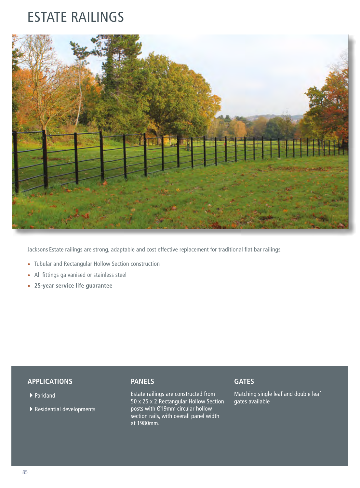# ESTATE RAILINGS



Jacksons Estate railings are strong, adaptable and cost effective replacement for traditional flat bar railings.

- Tubular and Rectangular Hollow Section construction
- All fittings galvanised or stainless steel
- **25-year service life guarantee**

#### **APPLICATIONS**

- ▶ Parkland
- $\blacktriangleright$  Residential developments

#### **PANELS**

Estate railings are constructed from 50 x 25 x 2 Rectangular Hollow Section posts with Ø19mm circular hollow section rails, with overall panel width at 1980mm.

#### **GATES**

Matching single leaf and double leaf gates available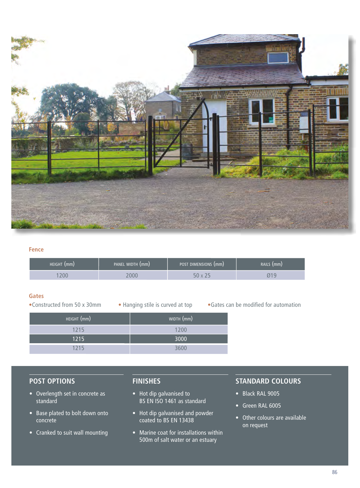

#### **Fence**

| HEIGHT (mm) | PANEL WIDTH (mm) | POST DIMENSIONS (mm) | RAILS (mm) |
|-------------|------------------|----------------------|------------|
| 200         | 000              |                      |            |

#### **Gates**

•Constructed from 50 x 30mm • Hanging stile is curved at top • Gates can be modified for automation

| HEIGHT (mm) | WIDTH (mm) |  |
|-------------|------------|--|
| 1215        | 1200       |  |
| 1215        | 3000       |  |
| 1215        | 3600       |  |

#### **POST OPTIONS**

- Overlength set in concrete as standard
- Base plated to bolt down onto concrete
- Cranked to suit wall mounting

### **FINISHES**

- Hot dip galvanised to BS EN ISO 1461 as standard
- Hot dip galvanised and powder coated to BS EN 13438
- Marine coat for installations within 500m of salt water or an estuary

- Black RAL 9005
- Green RAL 6005
- Other colours are available on request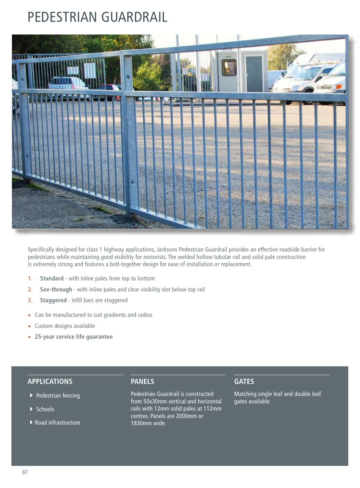# PEDESTRIAN GUARDRAIL



Specifically designed for class 1 highway applications, Jacksons Pedestrian Guardrail provides an effective roadside barrier for pedestrians while maintaining good visibility for motorists. The welded hollow tubular rail and solid pale construction is extremely strong and features a bolt-together design for ease of installation or replacement.

- **1. Standard** with inline pales from top to bottom
- **2. See-through** with inline pales and clear visibility slot below top rail
- **3. Staggered** infill bars are staggered
- Can be manufactured to suit gradients and radius
- Custom designs available
- **25-year service life guarantee**

#### **APPLICATIONS**

- ▶ Pedestrian fencing
- $\blacktriangleright$  Schools
- $\blacktriangleright$  Road infrastructure

#### **PANELS**

Pedestrian Guardrail is constructed from 50x30mm vertical and horizontal rails with 12mm solid pales at 112mm centres. Panels are 2000mm or 1830mm wide.

#### **GATES**

Matching single leaf and double leaf gates available